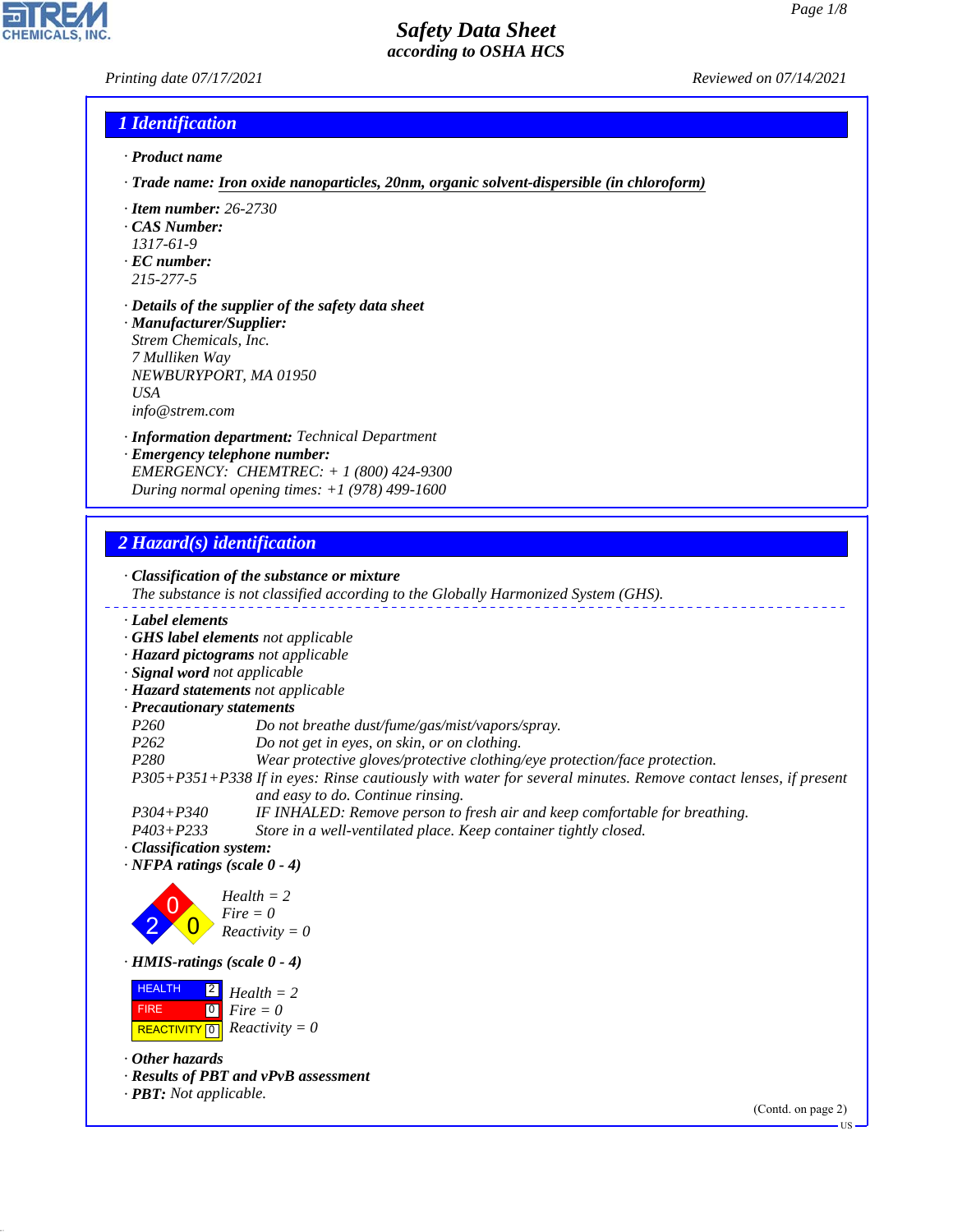# *Printing date 07/17/2021 Reviewed on 07/14/2021*

## *1 Identification*

- *· Product name*
- *· Trade name: Iron oxide nanoparticles, 20nm, organic solvent-dispersible (in chloroform)*
- *· Item number: 26-2730*
- *· CAS Number:*
- *1317-61-9*
- *· EC number:*
- *215-277-5*

44.1.1

- *· Details of the supplier of the safety data sheet · Manufacturer/Supplier: Strem Chemicals, Inc.*
- *7 Mulliken Way NEWBURYPORT, MA 01950 USA info@strem.com*
- *· Information department: Technical Department*
- *· Emergency telephone number: EMERGENCY: CHEMTREC: + 1 (800) 424-9300 During normal opening times: +1 (978) 499-1600*

## *2 Hazard(s) identification*

*· Classification of the substance or mixture The substance is not classified according to the Globally Harmonized System (GHS). · Label elements · GHS label elements not applicable · Hazard pictograms not applicable · Signal word not applicable · Hazard statements not applicable · Precautionary statements P260 Do not breathe dust/fume/gas/mist/vapors/spray. P262 Do not get in eyes, on skin, or on clothing. P280 Wear protective gloves/protective clothing/eye protection/face protection. P305+P351+P338 If in eyes: Rinse cautiously with water for several minutes. Remove contact lenses, if present and easy to do. Continue rinsing. P304+P340 IF INHALED: Remove person to fresh air and keep comfortable for breathing. P403+P233 Store in a well-ventilated place. Keep container tightly closed. · Classification system: · NFPA ratings (scale 0 - 4)* 2 0  $\overline{\mathbf{0}}$ *Health = 2 Fire = 0 Reactivity = 0 · HMIS-ratings (scale 0 - 4)* **HEALTH**  FIRE  $\sqrt{\text{REACTIVITY[0]}$  Reactivity = 0 2  $\overline{\phantom{0}}$ *Health = 2 Fire = 0 · Other hazards · Results of PBT and vPvB assessment · PBT: Not applicable.* (Contd. on page 2)

US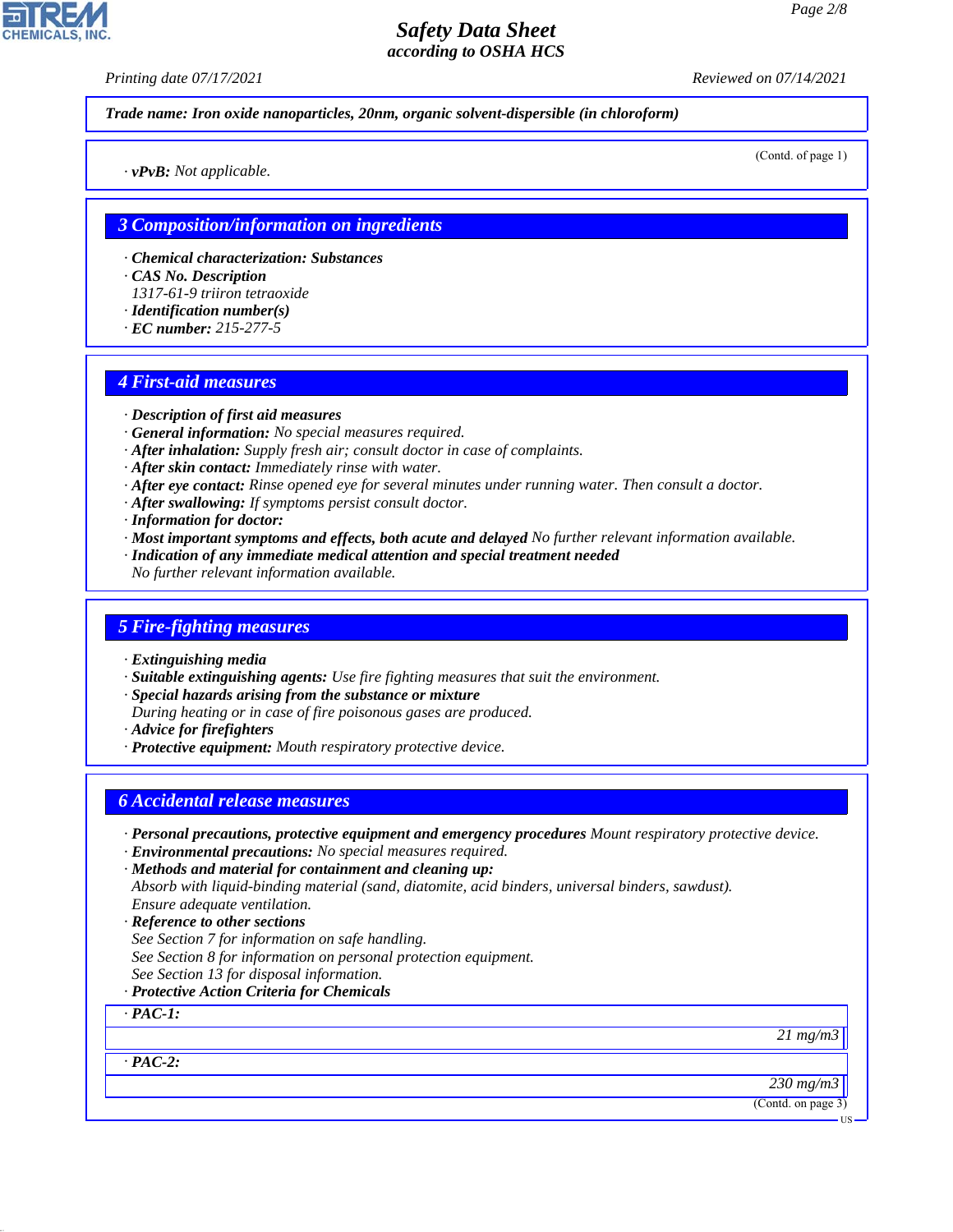*Printing date 07/17/2021 Reviewed on 07/14/2021*

*Trade name: Iron oxide nanoparticles, 20nm, organic solvent-dispersible (in chloroform)*

(Contd. of page 1)

*· vPvB: Not applicable.*

## *3 Composition/information on ingredients*

- *· Chemical characterization: Substances*
- *· CAS No. Description*
- *1317-61-9 triiron tetraoxide*
- *· Identification number(s)*
- *· EC number: 215-277-5*

## *4 First-aid measures*

- *· Description of first aid measures*
- *· General information: No special measures required.*
- *· After inhalation: Supply fresh air; consult doctor in case of complaints.*
- *· After skin contact: Immediately rinse with water.*
- *· After eye contact: Rinse opened eye for several minutes under running water. Then consult a doctor.*
- *· After swallowing: If symptoms persist consult doctor.*
- *· Information for doctor:*
- *· Most important symptoms and effects, both acute and delayed No further relevant information available.*
- *· Indication of any immediate medical attention and special treatment needed*
- *No further relevant information available.*

#### *5 Fire-fighting measures*

- *· Extinguishing media*
- *· Suitable extinguishing agents: Use fire fighting measures that suit the environment.*
- *· Special hazards arising from the substance or mixture*
- *During heating or in case of fire poisonous gases are produced.*
- *· Advice for firefighters*
- *· Protective equipment: Mouth respiratory protective device.*

## *6 Accidental release measures*

- *· Personal precautions, protective equipment and emergency procedures Mount respiratory protective device.*
- *· Environmental precautions: No special measures required.*
- *· Methods and material for containment and cleaning up: Absorb with liquid-binding material (sand, diatomite, acid binders, universal binders, sawdust). Ensure adequate ventilation.*
- *· Reference to other sections*
- *See Section 7 for information on safe handling.*
- *See Section 8 for information on personal protection equipment.*
- *See Section 13 for disposal information.*
- *· Protective Action Criteria for Chemicals*

## *· PAC-1:*

*· PAC-2:*

44.1.1

*21 mg/m3*

*230 mg/m3*

(Contd. on page 3)

**HS** 

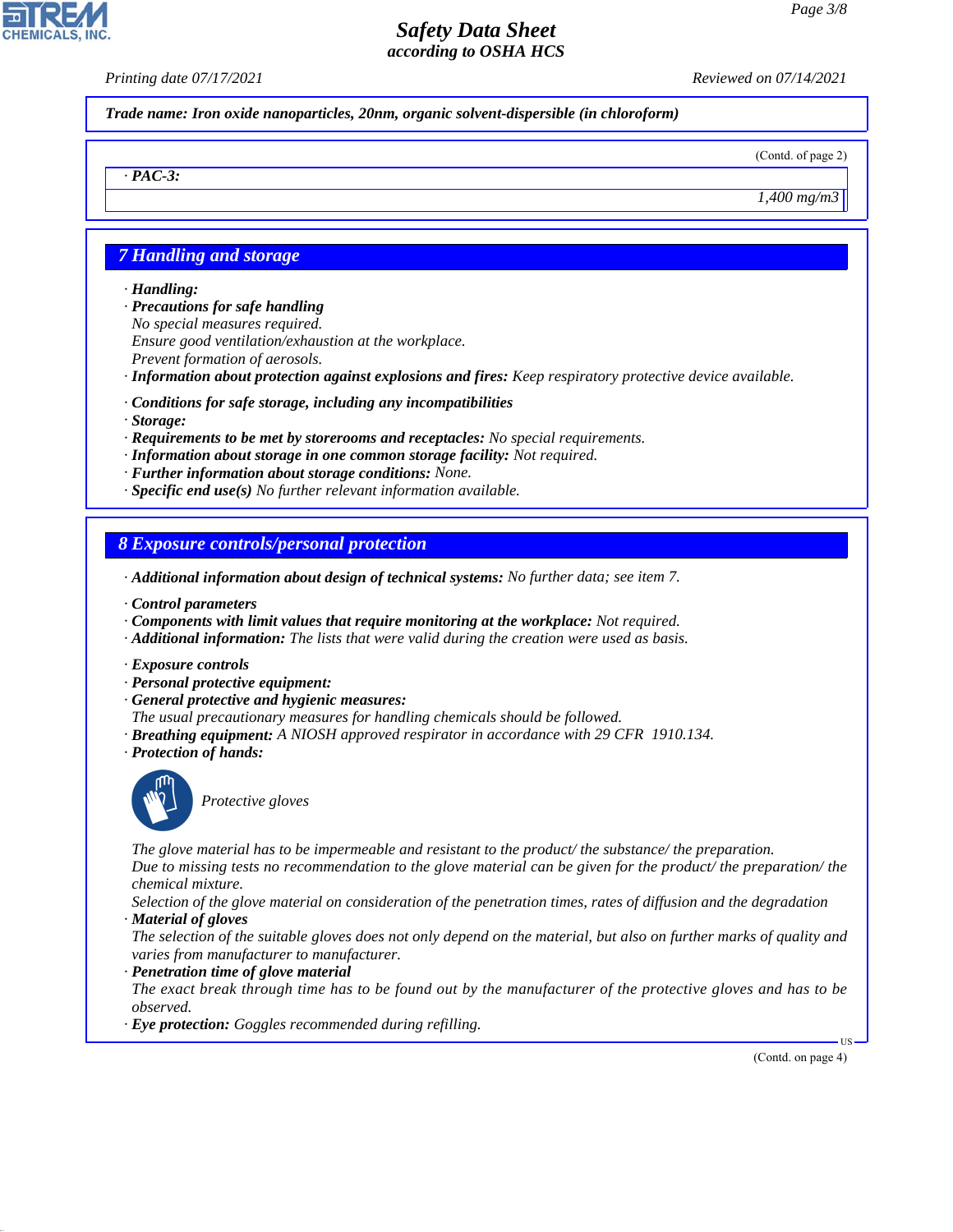*Printing date 07/17/2021 Reviewed on 07/14/2021*

*Trade name: Iron oxide nanoparticles, 20nm, organic solvent-dispersible (in chloroform)*

(Contd. of page 2)

*1,400 mg/m3*

## *7 Handling and storage*

#### *· Handling:*

*· PAC-3:*

- *· Precautions for safe handling No special measures required. Ensure good ventilation/exhaustion at the workplace. Prevent formation of aerosols.*
- *· Information about protection against explosions and fires: Keep respiratory protective device available.*
- *· Conditions for safe storage, including any incompatibilities*
- *· Storage:*
- *· Requirements to be met by storerooms and receptacles: No special requirements.*
- *· Information about storage in one common storage facility: Not required.*
- *· Further information about storage conditions: None.*
- *· Specific end use(s) No further relevant information available.*

## *8 Exposure controls/personal protection*

- *· Additional information about design of technical systems: No further data; see item 7.*
- *· Control parameters*
- *· Components with limit values that require monitoring at the workplace: Not required.*
- *· Additional information: The lists that were valid during the creation were used as basis.*
- *· Exposure controls*
- *· Personal protective equipment:*
- *· General protective and hygienic measures:*
- *The usual precautionary measures for handling chemicals should be followed.*
- *· Breathing equipment: A NIOSH approved respirator in accordance with 29 CFR 1910.134.*
- *· Protection of hands:*



44.1.1

\_S*Protective gloves*

*The glove material has to be impermeable and resistant to the product/ the substance/ the preparation. Due to missing tests no recommendation to the glove material can be given for the product/ the preparation/ the chemical mixture.*

*Selection of the glove material on consideration of the penetration times, rates of diffusion and the degradation · Material of gloves*

*The selection of the suitable gloves does not only depend on the material, but also on further marks of quality and varies from manufacturer to manufacturer.*

#### *· Penetration time of glove material*

*The exact break through time has to be found out by the manufacturer of the protective gloves and has to be observed.*

*· Eye protection: Goggles recommended during refilling.*

(Contd. on page 4)

US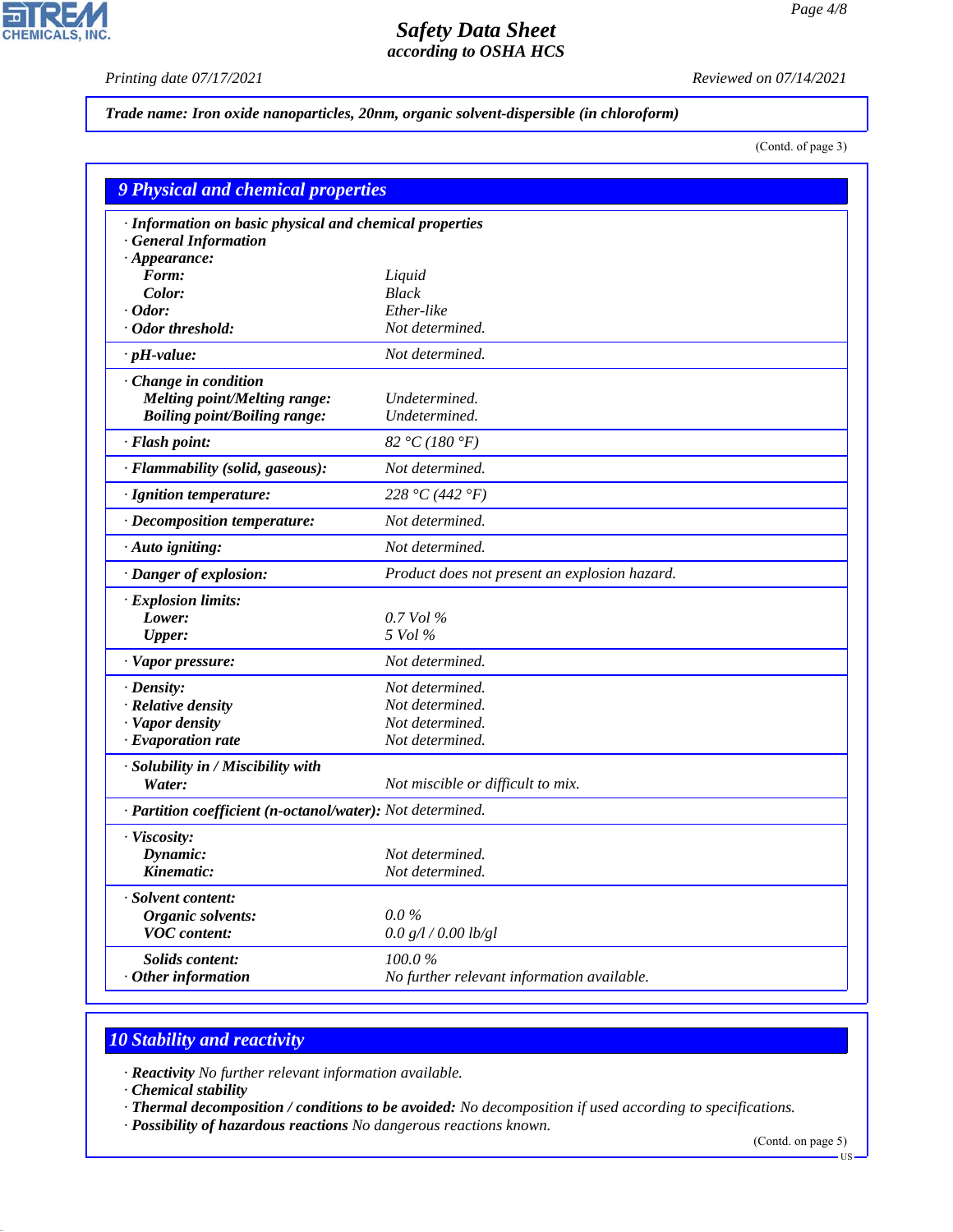$\overline{\mathbf{r}}$ 

**CHEMICALS, INC.** 

*Printing date 07/17/2021 Reviewed on 07/14/2021*

## *Trade name: Iron oxide nanoparticles, 20nm, organic solvent-dispersible (in chloroform)*

(Contd. of page 3)

| <b>9 Physical and chemical properties</b>                                                         |                                               |  |  |
|---------------------------------------------------------------------------------------------------|-----------------------------------------------|--|--|
| · Information on basic physical and chemical properties<br>· General Information                  |                                               |  |  |
| $\cdot$ Appearance:<br>Form:                                                                      |                                               |  |  |
| Color:                                                                                            | Liquid<br><b>Black</b>                        |  |  |
| Odor:                                                                                             | Ether-like                                    |  |  |
| Odor threshold:                                                                                   | Not determined.                               |  |  |
|                                                                                                   | Not determined.                               |  |  |
| $\cdot$ pH-value:                                                                                 |                                               |  |  |
| Change in condition<br><b>Melting point/Melting range:</b><br><b>Boiling point/Boiling range:</b> | Undetermined.<br>Undetermined.                |  |  |
| · Flash point:                                                                                    | 82 °C (180 °F)                                |  |  |
| · Flammability (solid, gaseous):                                                                  | Not determined.                               |  |  |
| · Ignition temperature:                                                                           | 228 °C (442 °F)                               |  |  |
| · Decomposition temperature:                                                                      | Not determined.                               |  |  |
| · Auto igniting:                                                                                  | Not determined.                               |  |  |
| · Danger of explosion:                                                                            | Product does not present an explosion hazard. |  |  |
| · Explosion limits:                                                                               |                                               |  |  |
| Lower:                                                                                            | 0.7 Vol %                                     |  |  |
| <b>Upper:</b>                                                                                     | 5 Vol %                                       |  |  |
| · Vapor pressure:                                                                                 | Not determined.                               |  |  |
| · Density:                                                                                        | Not determined.                               |  |  |
| · Relative density                                                                                | Not determined.                               |  |  |
| · Vapor density                                                                                   | Not determined.                               |  |  |
| $\cdot$ Evaporation rate                                                                          | Not determined.                               |  |  |
| · Solubility in / Miscibility with                                                                |                                               |  |  |
| Water:                                                                                            | Not miscible or difficult to mix.             |  |  |
| · Partition coefficient (n-octanol/water): Not determined.                                        |                                               |  |  |
| · Viscosity:                                                                                      |                                               |  |  |
| Dynamic:                                                                                          | Not determined.                               |  |  |
| Kinematic:                                                                                        | Not determined.                               |  |  |
| · Solvent content:                                                                                |                                               |  |  |
| <b>Organic solvents:</b>                                                                          | $0.0\%$                                       |  |  |
| <b>VOC</b> content:                                                                               | 0.0 g/l / 0.00 lb/gl                          |  |  |
| Solids content:                                                                                   | 100.0%                                        |  |  |
| Other information                                                                                 | No further relevant information available.    |  |  |

# *10 Stability and reactivity*

*· Reactivity No further relevant information available.*

*· Chemical stability*

44.1.1

*· Thermal decomposition / conditions to be avoided: No decomposition if used according to specifications.*

*· Possibility of hazardous reactions No dangerous reactions known.*

(Contd. on page 5)

<sup>-</sup>US·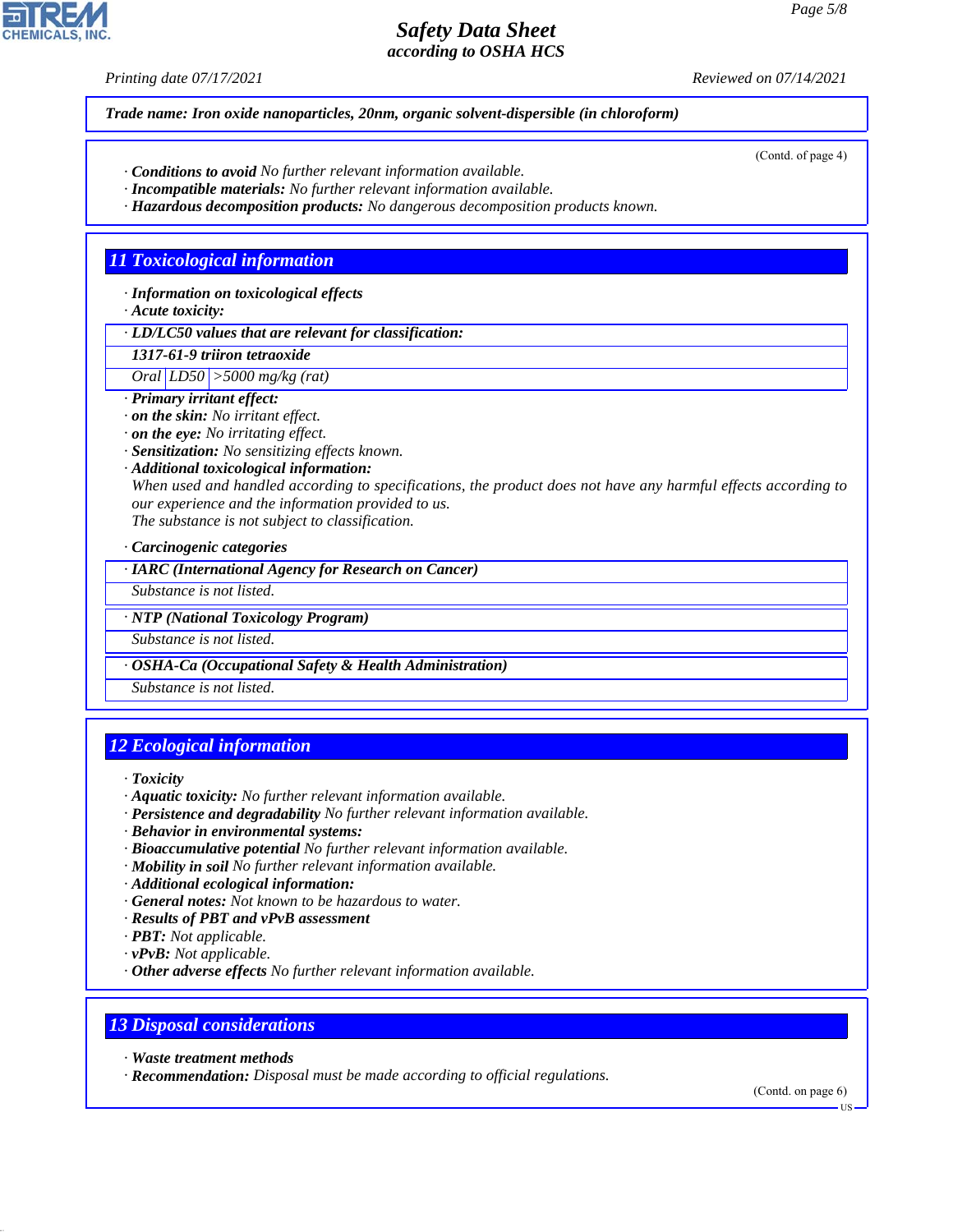*Printing date 07/17/2021 Reviewed on 07/14/2021*

*Trade name: Iron oxide nanoparticles, 20nm, organic solvent-dispersible (in chloroform)*

- *· Conditions to avoid No further relevant information available.*
- *· Incompatible materials: No further relevant information available.*
- *· Hazardous decomposition products: No dangerous decomposition products known.*

## *11 Toxicological information*

*· Information on toxicological effects*

*· Acute toxicity:*

*· LD/LC50 values that are relevant for classification:*

*1317-61-9 triiron tetraoxide Oral LD50 >5000 mg/kg (rat)*

- *· Primary irritant effect:*
- *· on the skin: No irritant effect.*
- *· on the eye: No irritating effect.*
- *· Sensitization: No sensitizing effects known.*
- *· Additional toxicological information:*

*When used and handled according to specifications, the product does not have any harmful effects according to our experience and the information provided to us.*

*The substance is not subject to classification.*

*· Carcinogenic categories*

*· IARC (International Agency for Research on Cancer)*

*Substance is not listed.*

*· NTP (National Toxicology Program)*

*Substance is not listed.*

*· OSHA-Ca (Occupational Safety & Health Administration)*

*Substance is not listed.*

# *12 Ecological information*

*· Toxicity*

- *· Aquatic toxicity: No further relevant information available.*
- *· Persistence and degradability No further relevant information available.*
- *· Behavior in environmental systems:*
- *· Bioaccumulative potential No further relevant information available.*
- *· Mobility in soil No further relevant information available.*
- *· Additional ecological information:*
- *· General notes: Not known to be hazardous to water.*
- *· Results of PBT and vPvB assessment*
- *· PBT: Not applicable.*
- *· vPvB: Not applicable.*
- *· Other adverse effects No further relevant information available.*

# *13 Disposal considerations*

*· Waste treatment methods*

44.1.1

*· Recommendation: Disposal must be made according to official regulations.*

(Contd. on page 6)



**HS**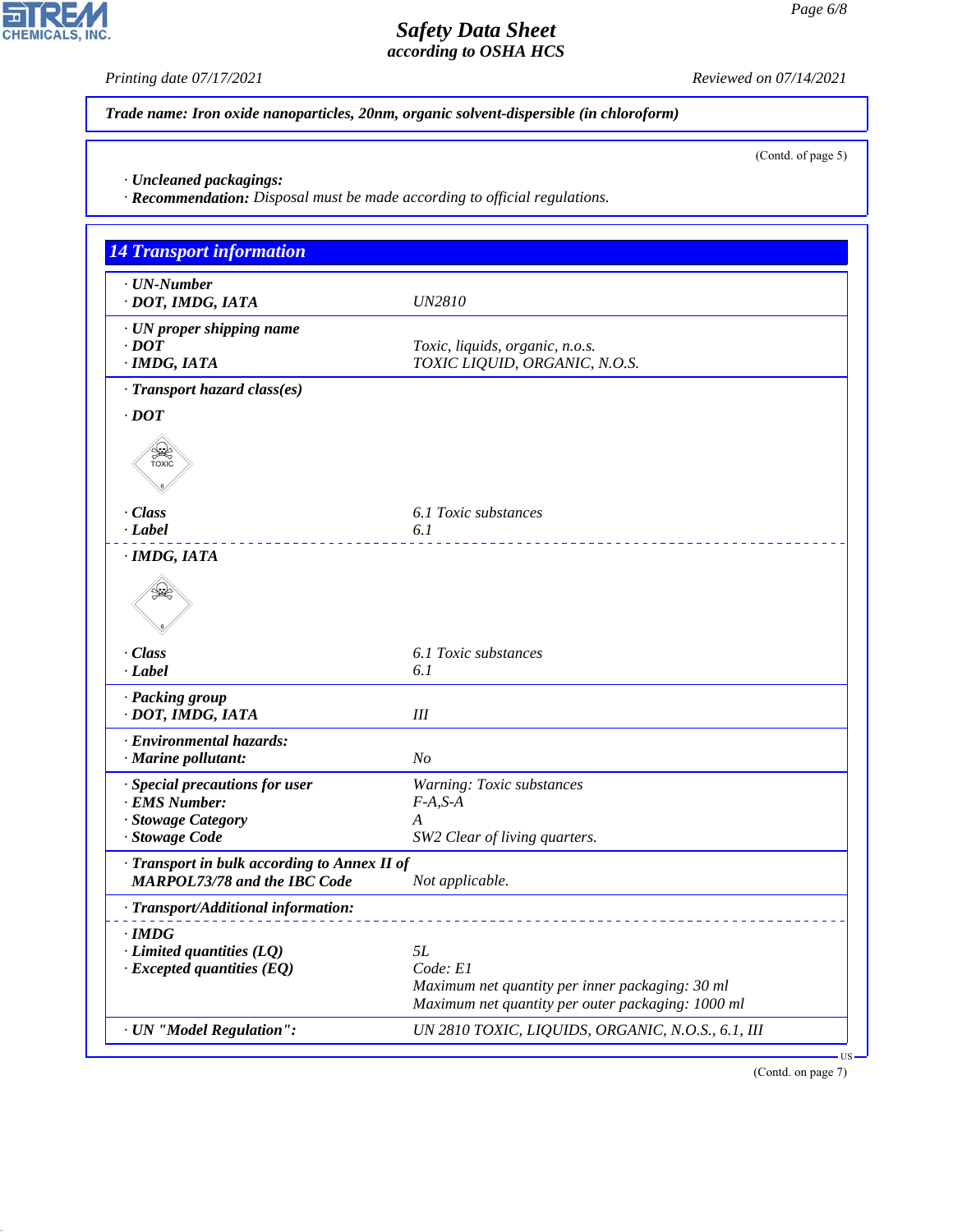$\overline{\mathbf{r}}$ 

**CHEMICALS, INC.** 

44.1.1

*Printing date 07/17/2021 Reviewed on 07/14/2021*

(Contd. of page 5)

*Trade name: Iron oxide nanoparticles, 20nm, organic solvent-dispersible (in chloroform)*

*· Uncleaned packagings:*

*· Recommendation: Disposal must be made according to official regulations.*

| <b>14 Transport information</b>              |                                                   |
|----------------------------------------------|---------------------------------------------------|
| $\cdot$ UN-Number                            |                                                   |
| · DOT, IMDG, IATA                            | <b>UN2810</b>                                     |
| · UN proper shipping name                    |                                                   |
| $\cdot$ DOT                                  | Toxic, liquids, organic, n.o.s.                   |
| · IMDG, IATA                                 | TOXIC LIQUID, ORGANIC, N.O.S.                     |
| · Transport hazard class(es)                 |                                                   |
| $\cdot$ <i>DOT</i>                           |                                                   |
| <b>SEE</b>                                   |                                                   |
| · Class                                      | 6.1 Toxic substances                              |
| $\cdot$ <i>Label</i>                         | 6.1                                               |
| · IMDG, IATA<br>₩                            |                                                   |
| · Class                                      | 6.1 Toxic substances                              |
| $\cdot$ <i>Label</i>                         | 6.1                                               |
| · Packing group                              |                                                   |
| · DOT, IMDG, IATA                            | $I\!I\!I$                                         |
| · Environmental hazards:                     |                                                   |
| · Marine pollutant:                          | N <sub>O</sub>                                    |
| · Special precautions for user               | Warning: Toxic substances                         |
| · EMS Number:<br>· Stowage Category          | $F-A, S-A$<br>A                                   |
| · Stowage Code                               | SW2 Clear of living quarters.                     |
| · Transport in bulk according to Annex II of |                                                   |
| <b>MARPOL73/78 and the IBC Code</b>          | Not applicable.                                   |
| · Transport/Additional information:          |                                                   |
| $\cdot$ IMDG                                 |                                                   |
| $\cdot$ Limited quantities (LQ)              | 5L                                                |
| $\cdot$ Excepted quantities (EQ)             | Code: E1                                          |
|                                              | Maximum net quantity per inner packaging: 30 ml   |
|                                              | Maximum net quantity per outer packaging: 1000 ml |
| · UN "Model Regulation":                     | UN 2810 TOXIC, LIQUIDS, ORGANIC, N.O.S., 6.1, III |
|                                              |                                                   |



US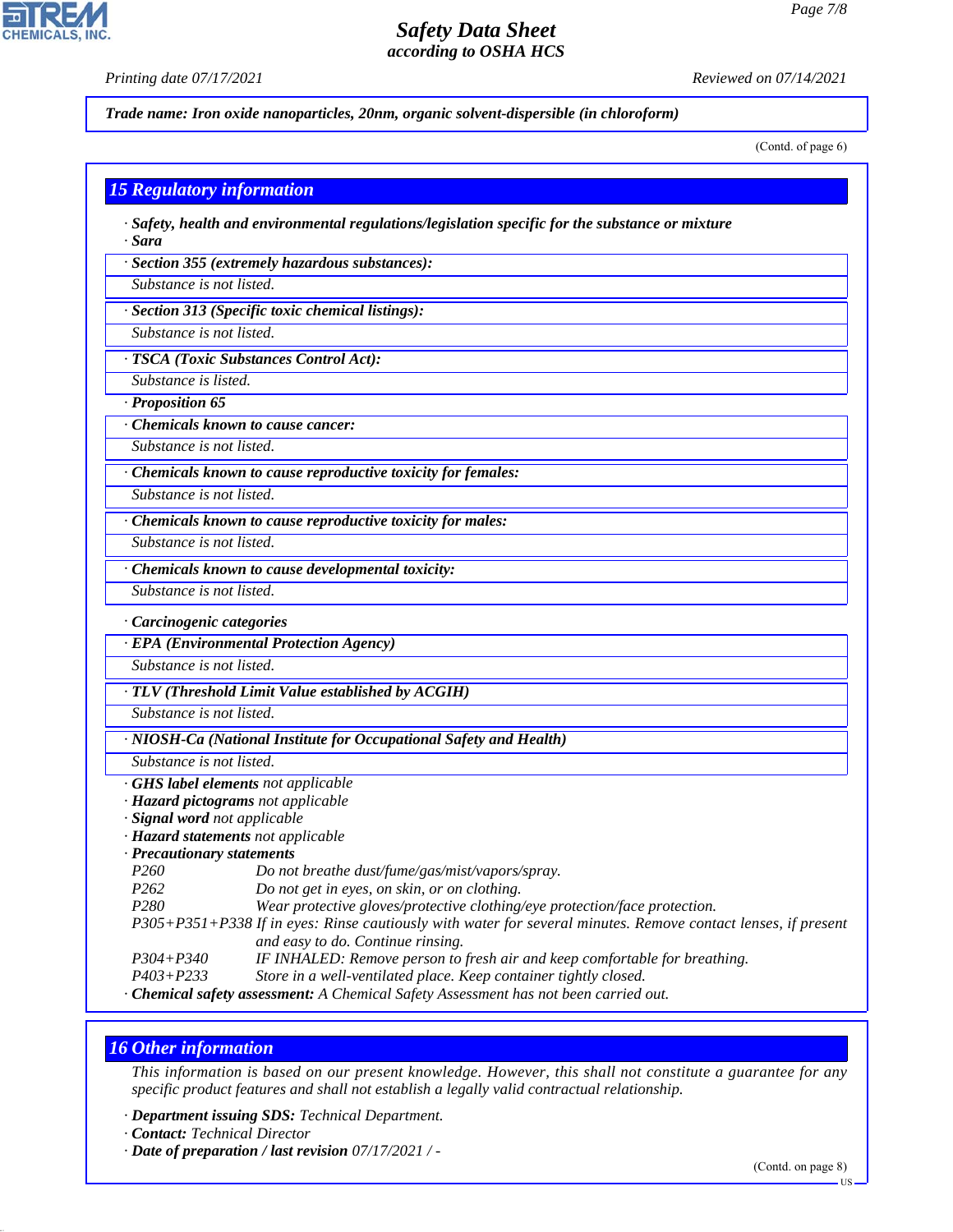þ

**CHEMICALS, INC.** 

*Printing date 07/17/2021 Reviewed on 07/14/2021*

*Trade name: Iron oxide nanoparticles, 20nm, organic solvent-dispersible (in chloroform)*

(Contd. of page 6)

| <b>15 Regulatory information</b> |                                                                                                               |
|----------------------------------|---------------------------------------------------------------------------------------------------------------|
| · Sara                           | $\cdot$ Safety, health and environmental regulations/legislation specific for the substance or mixture        |
|                                  | · Section 355 (extremely hazardous substances):                                                               |
| Substance is not listed.         |                                                                                                               |
|                                  | · Section 313 (Specific toxic chemical listings):                                                             |
| Substance is not listed.         |                                                                                                               |
|                                  | · TSCA (Toxic Substances Control Act):                                                                        |
| Substance is listed.             |                                                                                                               |
| · Proposition 65                 |                                                                                                               |
|                                  | Chemicals known to cause cancer:                                                                              |
| Substance is not listed.         |                                                                                                               |
|                                  | · Chemicals known to cause reproductive toxicity for females:                                                 |
| Substance is not listed.         |                                                                                                               |
|                                  |                                                                                                               |
|                                  | Chemicals known to cause reproductive toxicity for males:                                                     |
| Substance is not listed.         |                                                                                                               |
|                                  | · Chemicals known to cause developmental toxicity:                                                            |
| Substance is not listed.         |                                                                                                               |
| Carcinogenic categories          |                                                                                                               |
|                                  | · EPA (Environmental Protection Agency)                                                                       |
| Substance is not listed.         |                                                                                                               |
|                                  | · TLV (Threshold Limit Value established by ACGIH)                                                            |
| Substance is not listed.         |                                                                                                               |
|                                  | · NIOSH-Ca (National Institute for Occupational Safety and Health)                                            |
| Substance is not listed.         |                                                                                                               |
|                                  | · GHS label elements not applicable                                                                           |
|                                  | · Hazard pictograms not applicable                                                                            |
| · Signal word not applicable     |                                                                                                               |
|                                  | · Hazard statements not applicable                                                                            |
| · Precautionary statements       |                                                                                                               |
| P260                             | Do not breathe dust/fume/gas/mist/vapors/spray.                                                               |
| P262                             | Do not get in eyes, on skin, or on clothing.                                                                  |
| P280                             | Wear protective gloves/protective clothing/eye protection/face protection.                                    |
|                                  | P305+P351+P338 If in eyes: Rinse cautiously with water for several minutes. Remove contact lenses, if present |
|                                  | and easy to do. Continue rinsing.                                                                             |
| $P304 + P340$                    | IF INHALED: Remove person to fresh air and keep comfortable for breathing.                                    |
| $P403 + P233$                    | Store in a well-ventilated place. Keep container tightly closed.                                              |
|                                  | · Chemical safety assessment: A Chemical Safety Assessment has not been carried out.                          |

## *16 Other information*

44.1.1

*This information is based on our present knowledge. However, this shall not constitute a guarantee for any specific product features and shall not establish a legally valid contractual relationship.*

*· Department issuing SDS: Technical Department.*

*· Date of preparation / last revision 07/17/2021 / -*

*<sup>·</sup> Contact: Technical Director*